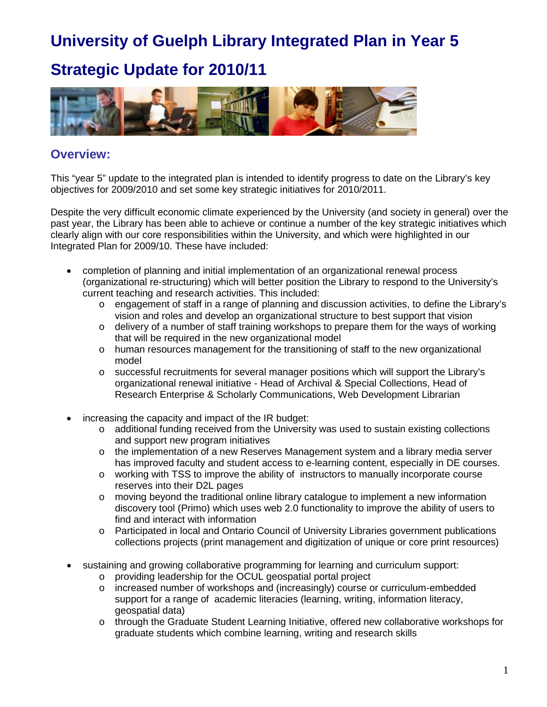## **Strategic Update for 2010/11**



### **Overview:**

This "year 5" update to the integrated plan is intended to identify progress to date on the Library's key objectives for 2009/2010 and set some key strategic initiatives for 2010/2011.

Despite the very difficult economic climate experienced by the University (and society in general) over the past year, the Library has been able to achieve or continue a number of the key strategic initiatives which clearly align with our core responsibilities within the University, and which were highlighted in our Integrated Plan for 2009/10. These have included:

- completion of planning and initial implementation of an organizational renewal process (organizational re-structuring) which will better position the Library to respond to the University's current teaching and research activities. This included:
	- o engagement of staff in a range of planning and discussion activities, to define the Library's vision and roles and develop an organizational structure to best support that vision
	- $\circ$  delivery of a number of staff training workshops to prepare them for the ways of working that will be required in the new organizational model
	- $\circ$  human resources management for the transitioning of staff to the new organizational model
	- o successful recruitments for several manager positions which will support the Library's organizational renewal initiative - Head of Archival & Special Collections, Head of Research Enterprise & Scholarly Communications, Web Development Librarian
- increasing the capacity and impact of the IR budget:
	- o additional funding received from the University was used to sustain existing collections and support new program initiatives
	- o the implementation of a new Reserves Management system and a library media server has improved faculty and student access to e-learning content, especially in DE courses.
	- o working with TSS to improve the ability of instructors to manually incorporate course reserves into their D2L pages
	- $\circ$  moving beyond the traditional online library catalogue to implement a new information discovery tool (Primo) which uses web 2.0 functionality to improve the ability of users to find and interact with information
	- o Participated in local and Ontario Council of University Libraries government publications collections projects (print management and digitization of unique or core print resources)
- sustaining and growing collaborative programming for learning and curriculum support:
	- o providing leadership for the OCUL geospatial portal project
	- $\circ$  increased number of workshops and (increasingly) course or curriculum-embedded support for a range of academic literacies (learning, writing, information literacy, geospatial data)
	- o through the Graduate Student Learning Initiative, offered new collaborative workshops for graduate students which combine learning, writing and research skills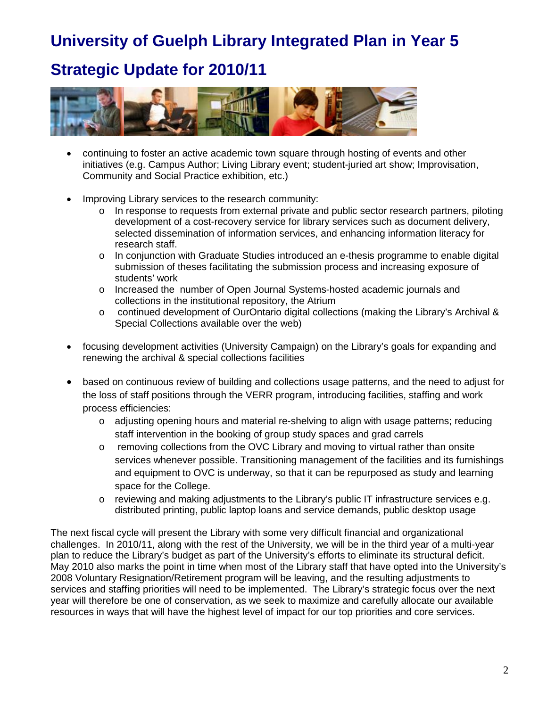### **Strategic Update for 2010/11**



- continuing to foster an active academic town square through hosting of events and other initiatives (e.g. Campus Author; Living Library event; student-juried art show; Improvisation, Community and Social Practice exhibition, etc.)
- Improving Library services to the research community:
	- o In response to requests from external private and public sector research partners, piloting development of a cost-recovery service for library services such as document delivery, selected dissemination of information services, and enhancing information literacy for research staff.
	- o In conjunction with Graduate Studies introduced an e-thesis programme to enable digital submission of theses facilitating the submission process and increasing exposure of students' work
	- o Increased the number of Open Journal Systems-hosted academic journals and collections in the institutional repository, the Atrium
	- o continued development of OurOntario digital collections (making the Library's Archival & Special Collections available over the web)
- focusing development activities (University Campaign) on the Library's goals for expanding and renewing the archival & special collections facilities
- based on continuous review of building and collections usage patterns, and the need to adjust for the loss of staff positions through the VERR program, introducing facilities, staffing and work process efficiencies:
	- o adjusting opening hours and material re-shelving to align with usage patterns; reducing staff intervention in the booking of group study spaces and grad carrels
	- o removing collections from the OVC Library and moving to virtual rather than onsite services whenever possible. Transitioning management of the facilities and its furnishings and equipment to OVC is underway, so that it can be repurposed as study and learning space for the College.
	- $\circ$  reviewing and making adjustments to the Library's public IT infrastructure services e.g. distributed printing, public laptop loans and service demands, public desktop usage

The next fiscal cycle will present the Library with some very difficult financial and organizational challenges. In 2010/11, along with the rest of the University, we will be in the third year of a multi-year plan to reduce the Library's budget as part of the University's efforts to eliminate its structural deficit. May 2010 also marks the point in time when most of the Library staff that have opted into the University's 2008 Voluntary Resignation/Retirement program will be leaving, and the resulting adjustments to services and staffing priorities will need to be implemented. The Library's strategic focus over the next year will therefore be one of conservation, as we seek to maximize and carefully allocate our available resources in ways that will have the highest level of impact for our top priorities and core services.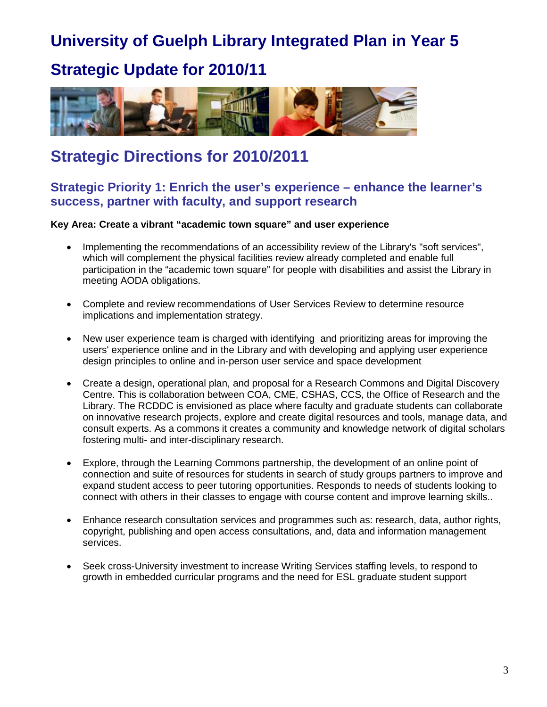### **Strategic Update for 2010/11**



## **Strategic Directions for 2010/2011**

### **Strategic Priority 1: Enrich the user's experience – enhance the learner's success, partner with faculty, and support research**

**Key Area: Create a vibrant "academic town square" and user experience**

- Implementing the recommendations of an accessibility review of the Library's "soft services", which will complement the physical facilities review already completed and enable full participation in the "academic town square" for people with disabilities and assist the Library in meeting AODA obligations.
- Complete and review recommendations of User Services Review to determine resource implications and implementation strategy.
- New user experience team is charged with identifying and prioritizing areas for improving the users' experience online and in the Library and with developing and applying user experience design principles to online and in-person user service and space development
- Create a design, operational plan, and proposal for a Research Commons and Digital Discovery Centre. This is collaboration between COA, CME, CSHAS, CCS, the Office of Research and the Library. The RCDDC is envisioned as place where faculty and graduate students can collaborate on innovative research projects, explore and create digital resources and tools, manage data, and consult experts. As a commons it creates a community and knowledge network of digital scholars fostering multi- and inter-disciplinary research.
- Explore, through the Learning Commons partnership, the development of an online point of connection and suite of resources for students in search of study groups partners to improve and expand student access to peer tutoring opportunities. Responds to needs of students looking to connect with others in their classes to engage with course content and improve learning skills..
- Enhance research consultation services and programmes such as: research, data, author rights, copyright, publishing and open access consultations, and, data and information management services.
- Seek cross-University investment to increase Writing Services staffing levels, to respond to growth in embedded curricular programs and the need for ESL graduate student support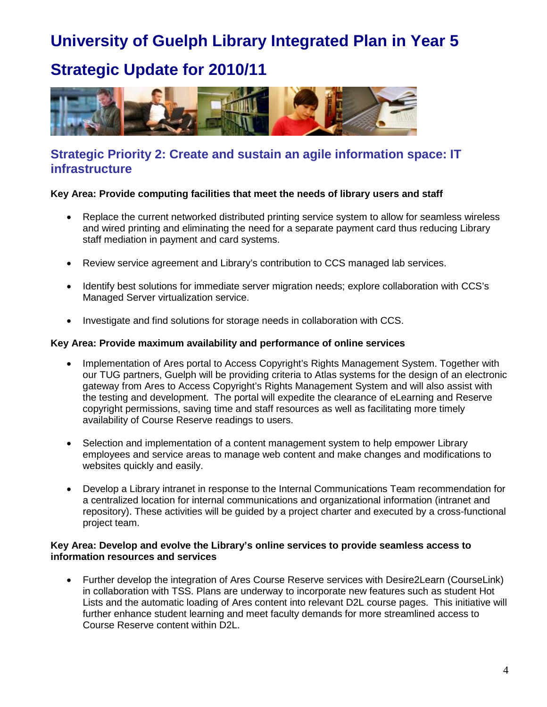## **Strategic Update for 2010/11**



### **Strategic Priority 2: Create and sustain an agile information space: IT infrastructure**

#### **Key Area: Provide computing facilities that meet the needs of library users and staff**

- Replace the current networked distributed printing service system to allow for seamless wireless and wired printing and eliminating the need for a separate payment card thus reducing Library staff mediation in payment and card systems.
- Review service agreement and Library's contribution to CCS managed lab services.
- Identify best solutions for immediate server migration needs; explore collaboration with CCS's Managed Server virtualization service.
- Investigate and find solutions for storage needs in collaboration with CCS.

#### **Key Area: Provide maximum availability and performance of online services**

- Implementation of Ares portal to Access Copyright's Rights Management System. Together with our TUG partners, Guelph will be providing criteria to Atlas systems for the design of an electronic gateway from Ares to Access Copyright's Rights Management System and will also assist with the testing and development. The portal will expedite the clearance of eLearning and Reserve copyright permissions, saving time and staff resources as well as facilitating more timely availability of Course Reserve readings to users.
- Selection and implementation of a content management system to help empower Library employees and service areas to manage web content and make changes and modifications to websites quickly and easily.
- Develop a Library intranet in response to the Internal Communications Team recommendation for a centralized location for internal communications and organizational information (intranet and repository). These activities will be guided by a project charter and executed by a cross-functional project team.

#### **Key Area: Develop and evolve the Library's online services to provide seamless access to information resources and services**

• Further develop the integration of Ares Course Reserve services with Desire2Learn (CourseLink) in collaboration with TSS. Plans are underway to incorporate new features such as student Hot Lists and the automatic loading of Ares content into relevant D2L course pages. This initiative will further enhance student learning and meet faculty demands for more streamlined access to Course Reserve content within D2L.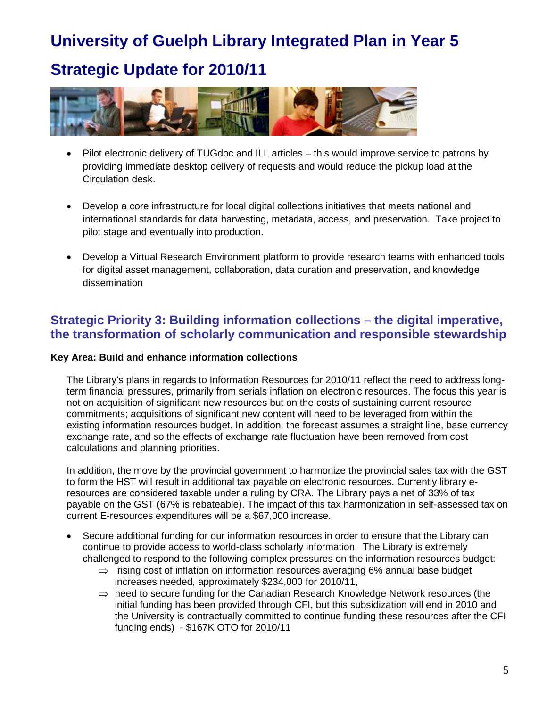# **Strategic Update for 2010/11**



- Pilot electronic delivery of TUGdoc and ILL articles this would improve service to patrons by providing immediate desktop delivery of requests and would reduce the pickup load at the Circulation desk.
- Develop a core infrastructure for local digital collections initiatives that meets national and international standards for data harvesting, metadata, access, and preservation. Take project to pilot stage and eventually into production.
- Develop a Virtual Research Environment platform to provide research teams with enhanced tools for digital asset management, collaboration, data curation and preservation, and knowledge dissemination

### **Strategic Priority 3: Building information collections – the digital imperative, the transformation of scholarly communication and responsible stewardship**

#### **Key Area: Build and enhance information collections**

The Library's plans in regards to Information Resources for 2010/11 reflect the need to address longterm financial pressures, primarily from serials inflation on electronic resources. The focus this year is not on acquisition of significant new resources but on the costs of sustaining current resource commitments; acquisitions of significant new content will need to be leveraged from within the existing information resources budget. In addition, the forecast assumes a straight line, base currency exchange rate, and so the effects of exchange rate fluctuation have been removed from cost calculations and planning priorities.

In addition, the move by the provincial government to harmonize the provincial sales tax with the GST to form the HST will result in additional tax payable on electronic resources. Currently library eresources are considered taxable under a ruling by CRA. The Library pays a net of 33% of tax payable on the GST (67% is rebateable). The impact of this tax harmonization in self-assessed tax on current E-resources expenditures will be a \$67,000 increase.

- Secure additional funding for our information resources in order to ensure that the Library can continue to provide access to world-class scholarly information. The Library is extremely challenged to respond to the following complex pressures on the information resources budget:
	- $\Rightarrow$  rising cost of inflation on information resources averaging 6% annual base budget increases needed, approximately \$234,000 for 2010/11,
	- $\Rightarrow$  need to secure funding for the Canadian Research Knowledge Network resources (the initial funding has been provided through CFI, but this subsidization will end in 2010 and the University is contractually committed to continue funding these resources after the CFI funding ends) - \$167K OTO for 2010/11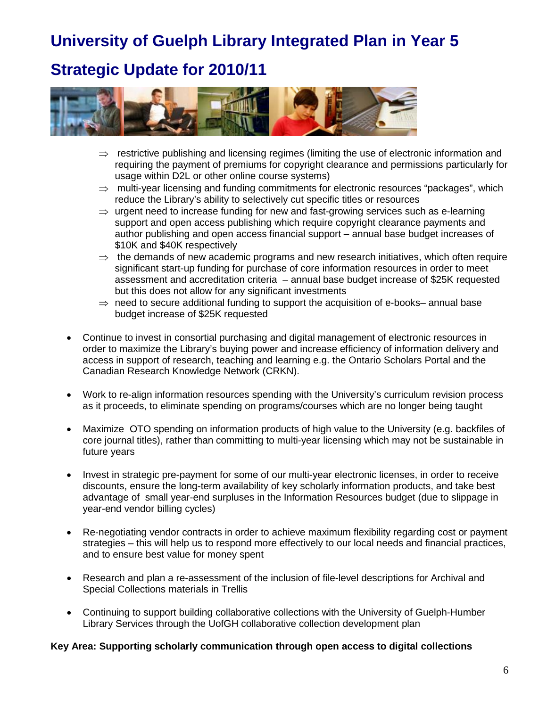## **Strategic Update for 2010/11**



- $\Rightarrow$  restrictive publishing and licensing regimes (limiting the use of electronic information and requiring the payment of premiums for copyright clearance and permissions particularly for usage within D2L or other online course systems)
- $\Rightarrow$  multi-year licensing and funding commitments for electronic resources "packages", which reduce the Library's ability to selectively cut specific titles or resources
- $\Rightarrow$  urgent need to increase funding for new and fast-growing services such as e-learning support and open access publishing which require copyright clearance payments and author publishing and open access financial support – annual base budget increases of \$10K and \$40K respectively
- $\Rightarrow$  the demands of new academic programs and new research initiatives, which often require significant start-up funding for purchase of core information resources in order to meet assessment and accreditation criteria – annual base budget increase of \$25K requested but this does not allow for any significant investments
- $\Rightarrow$  need to secure additional funding to support the acquisition of e-books– annual base budget increase of \$25K requested
- Continue to invest in consortial purchasing and digital management of electronic resources in order to maximize the Library's buying power and increase efficiency of information delivery and access in support of research, teaching and learning e.g. the Ontario Scholars Portal and the Canadian Research Knowledge Network (CRKN).
- Work to re-align information resources spending with the University's curriculum revision process as it proceeds, to eliminate spending on programs/courses which are no longer being taught
- Maximize OTO spending on information products of high value to the University (e.g. backfiles of core journal titles), rather than committing to multi-year licensing which may not be sustainable in future years
- Invest in strategic pre-payment for some of our multi-year electronic licenses, in order to receive discounts, ensure the long-term availability of key scholarly information products, and take best advantage of small year-end surpluses in the Information Resources budget (due to slippage in year-end vendor billing cycles)
- Re-negotiating vendor contracts in order to achieve maximum flexibility regarding cost or payment strategies – this will help us to respond more effectively to our local needs and financial practices, and to ensure best value for money spent
- Research and plan a re-assessment of the inclusion of file-level descriptions for Archival and Special Collections materials in Trellis
- Continuing to support building collaborative collections with the University of Guelph-Humber Library Services through the UofGH collaborative collection development plan

#### **Key Area: Supporting scholarly communication through open access to digital collections**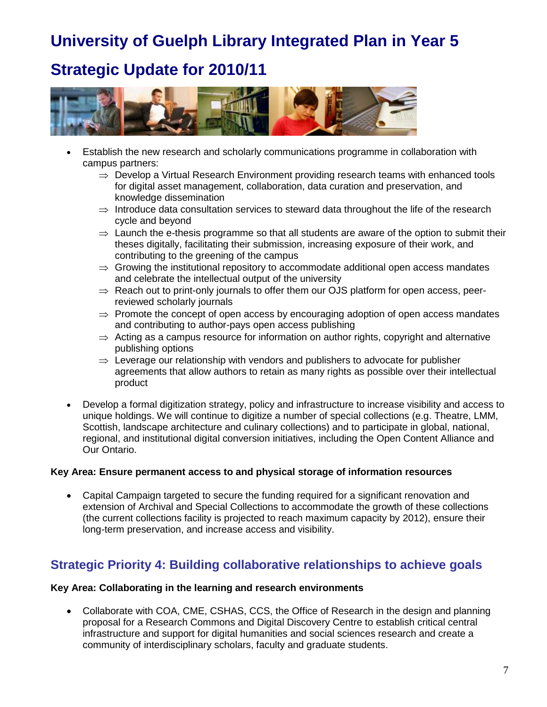## **Strategic Update for 2010/11**



- Establish the new research and scholarly communications programme in collaboration with campus partners:
	- $\Rightarrow$  Develop a Virtual Research Environment providing research teams with enhanced tools for digital asset management, collaboration, data curation and preservation, and knowledge dissemination
	- $\Rightarrow$  Introduce data consultation services to steward data throughout the life of the research cycle and beyond
	- $\Rightarrow$  Launch the e-thesis programme so that all students are aware of the option to submit their theses digitally, facilitating their submission, increasing exposure of their work, and contributing to the greening of the campus
	- $\Rightarrow$  Growing the institutional repository to accommodate additional open access mandates and celebrate the intellectual output of the university
	- $\Rightarrow$  Reach out to print-only journals to offer them our OJS platform for open access, peerreviewed scholarly journals
	- $\Rightarrow$  Promote the concept of open access by encouraging adoption of open access mandates and contributing to author-pays open access publishing
	- $\Rightarrow$  Acting as a campus resource for information on author rights, copyright and alternative publishing options
	- $\Rightarrow$  Leverage our relationship with vendors and publishers to advocate for publisher agreements that allow authors to retain as many rights as possible over their intellectual product
- Develop a formal digitization strategy, policy and infrastructure to increase visibility and access to unique holdings. We will continue to digitize a number of special collections (e.g. Theatre, LMM, Scottish, landscape architecture and culinary collections) and to participate in global, national, regional, and institutional digital conversion initiatives, including the Open Content Alliance and Our Ontario.

#### **Key Area: Ensure permanent access to and physical storage of information resources**

• Capital Campaign targeted to secure the funding required for a significant renovation and extension of Archival and Special Collections to accommodate the growth of these collections (the current collections facility is projected to reach maximum capacity by 2012), ensure their long-term preservation, and increase access and visibility.

### **Strategic Priority 4: Building collaborative relationships to achieve goals**

#### **Key Area: Collaborating in the learning and research environments**

• Collaborate with COA, CME, CSHAS, CCS, the Office of Research in the design and planning proposal for a Research Commons and Digital Discovery Centre to establish critical central infrastructure and support for digital humanities and social sciences research and create a community of interdisciplinary scholars, faculty and graduate students.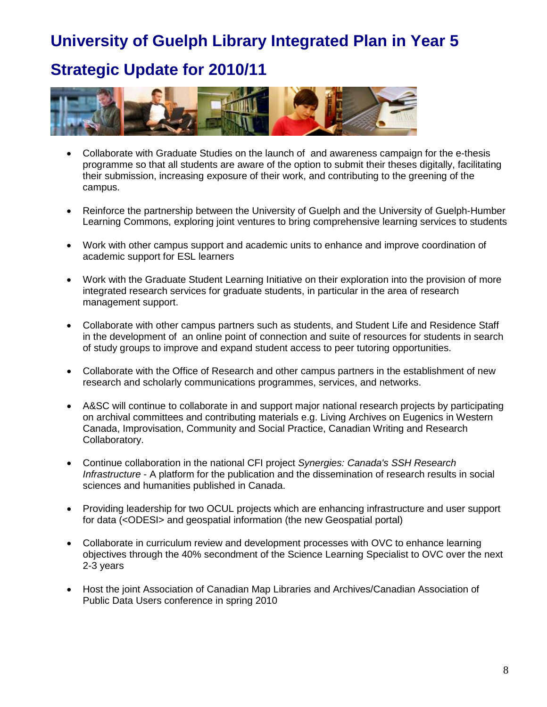## **Strategic Update for 2010/11**



- Collaborate with Graduate Studies on the launch of and awareness campaign for the e-thesis programme so that all students are aware of the option to submit their theses digitally, facilitating their submission, increasing exposure of their work, and contributing to the greening of the campus.
- Reinforce the partnership between the University of Guelph and the University of Guelph-Humber Learning Commons, exploring joint ventures to bring comprehensive learning services to students
- Work with other campus support and academic units to enhance and improve coordination of academic support for ESL learners
- Work with the Graduate Student Learning Initiative on their exploration into the provision of more integrated research services for graduate students, in particular in the area of research management support.
- Collaborate with other campus partners such as students, and Student Life and Residence Staff in the development of an online point of connection and suite of resources for students in search of study groups to improve and expand student access to peer tutoring opportunities.
- Collaborate with the Office of Research and other campus partners in the establishment of new research and scholarly communications programmes, services, and networks.
- A&SC will continue to collaborate in and support major national research projects by participating on archival committees and contributing materials e.g. Living Archives on Eugenics in Western Canada, Improvisation, Community and Social Practice, Canadian Writing and Research Collaboratory.
- Continue collaboration in the national CFI project *Synergies: Canada's SSH Research Infrastructure* - A platform for the publication and the dissemination of research results in social sciences and humanities published in Canada.
- Providing leadership for two OCUL projects which are enhancing infrastructure and user support for data (<ODESI> and geospatial information (the new Geospatial portal)
- Collaborate in curriculum review and development processes with OVC to enhance learning objectives through the 40% secondment of the Science Learning Specialist to OVC over the next 2-3 years
- Host the joint Association of Canadian Map Libraries and Archives/Canadian Association of Public Data Users conference in spring 2010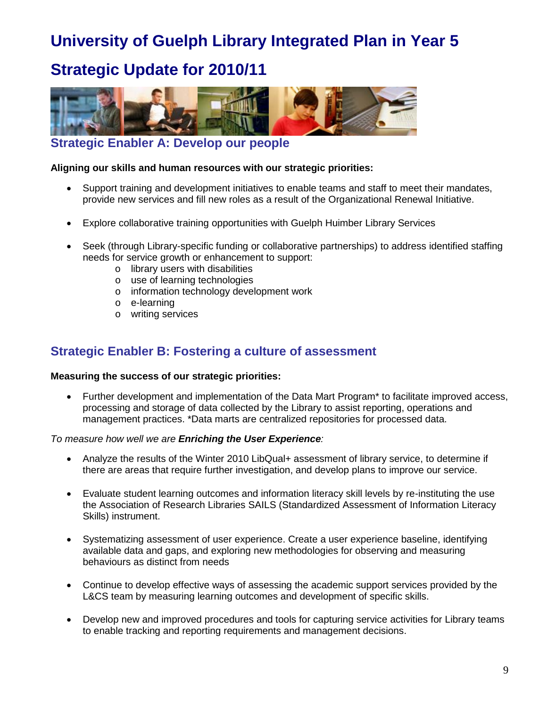## **Strategic Update for 2010/11**



**Strategic Enabler A: Develop our people** 

#### **Aligning our skills and human resources with our strategic priorities:**

- Support training and development initiatives to enable teams and staff to meet their mandates, provide new services and fill new roles as a result of the Organizational Renewal Initiative.
- Explore collaborative training opportunities with Guelph Huimber Library Services
- Seek (through Library-specific funding or collaborative partnerships) to address identified staffing needs for service growth or enhancement to support:
	- o library users with disabilities
	- o use of learning technologies
	- o information technology development work
	- o e-learning
	- o writing services

### **Strategic Enabler B: Fostering a culture of assessment**

#### **Measuring the success of our strategic priorities:**

• Further development and implementation of the Data Mart Program\* to facilitate improved access, processing and storage of data collected by the Library to assist reporting, operations and management practices. \*Data marts are centralized repositories for processed data.

#### *To measure how well we are Enriching the User Experience:*

- Analyze the results of the Winter 2010 LibQual+ assessment of library service, to determine if there are areas that require further investigation, and develop plans to improve our service.
- Evaluate student learning outcomes and information literacy skill levels by re-instituting the use the Association of Research Libraries SAILS (Standardized Assessment of Information Literacy Skills) instrument.
- Systematizing assessment of user experience. Create a user experience baseline, identifying available data and gaps, and exploring new methodologies for observing and measuring behaviours as distinct from needs
- Continue to develop effective ways of assessing the academic support services provided by the L&CS team by measuring learning outcomes and development of specific skills.
- Develop new and improved procedures and tools for capturing service activities for Library teams to enable tracking and reporting requirements and management decisions.